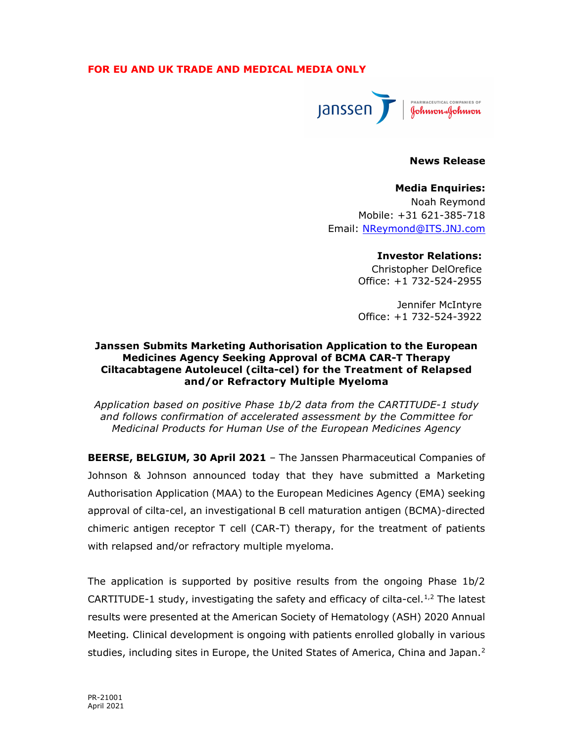# FOR EU AND UK TRADE AND MEDICAL MEDIA ONLY



### News Release

#### Media Enquiries:

Noah Reymond Mobile: +31 621-385-718 Email: NReymond@ITS.JNJ.com

## Investor Relations:

Christopher DelOrefice Office: +1 732-524-2955

Jennifer McIntyre Office: +1 732-524-3922

## Janssen Submits Marketing Authorisation Application to the European Medicines Agency Seeking Approval of BCMA CAR-T Therapy Ciltacabtagene Autoleucel (cilta-cel) for the Treatment of Relapsed and/or Refractory Multiple Myeloma

Application based on positive Phase 1b/2 data from the CARTITUDE-1 study and follows confirmation of accelerated assessment by the Committee for Medicinal Products for Human Use of the European Medicines Agency

BEERSE, BELGIUM, 30 April 2021 - The Janssen Pharmaceutical Companies of Johnson & Johnson announced today that they have submitted a Marketing Authorisation Application (MAA) to the European Medicines Agency (EMA) seeking approval of cilta-cel, an investigational B cell maturation antigen (BCMA)-directed chimeric antigen receptor T cell (CAR-T) therapy, for the treatment of patients with relapsed and/or refractory multiple myeloma.

The application is supported by positive results from the ongoing Phase 1b/2 CARTITUDE-1 study, investigating the safety and efficacy of cilta-cel. $1/2$  The latest results were presented at the American Society of Hematology (ASH) 2020 Annual Meeting. Clinical development is ongoing with patients enrolled globally in various studies, including sites in Europe, the United States of America, China and Japan.<sup>2</sup>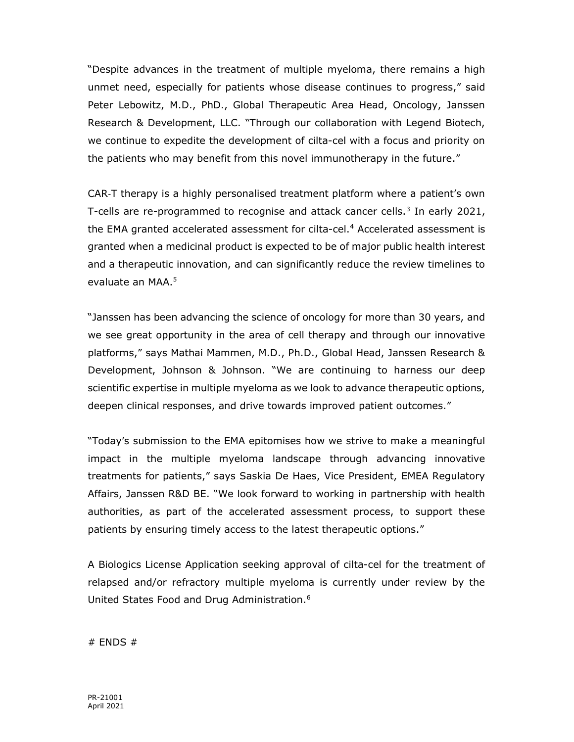"Despite advances in the treatment of multiple myeloma, there remains a high unmet need, especially for patients whose disease continues to progress," said Peter Lebowitz, M.D., PhD., Global Therapeutic Area Head, Oncology, Janssen Research & Development, LLC. "Through our collaboration with Legend Biotech, we continue to expedite the development of cilta-cel with a focus and priority on the patients who may benefit from this novel immunotherapy in the future."

CAR‑T therapy is a highly personalised treatment platform where a patient's own T-cells are re-programmed to recognise and attack cancer cells. $3$  In early 2021, the EMA granted accelerated assessment for cilta-cel.<sup>4</sup> Accelerated assessment is granted when a medicinal product is expected to be of major public health interest and a therapeutic innovation, and can significantly reduce the review timelines to evaluate an MAA.<sup>5</sup>

"Janssen has been advancing the science of oncology for more than 30 years, and we see great opportunity in the area of cell therapy and through our innovative platforms," says Mathai Mammen, M.D., Ph.D., Global Head, Janssen Research & Development, Johnson & Johnson. "We are continuing to harness our deep scientific expertise in multiple myeloma as we look to advance therapeutic options, deepen clinical responses, and drive towards improved patient outcomes."

"Today's submission to the EMA epitomises how we strive to make a meaningful impact in the multiple myeloma landscape through advancing innovative treatments for patients," says Saskia De Haes, Vice President, EMEA Regulatory Affairs, Janssen R&D BE. "We look forward to working in partnership with health authorities, as part of the accelerated assessment process, to support these patients by ensuring timely access to the latest therapeutic options."

A Biologics License Application seeking approval of cilta-cel for the treatment of relapsed and/or refractory multiple myeloma is currently under review by the United States Food and Drug Administration.<sup>6</sup>

 $#$  ENDS  $#$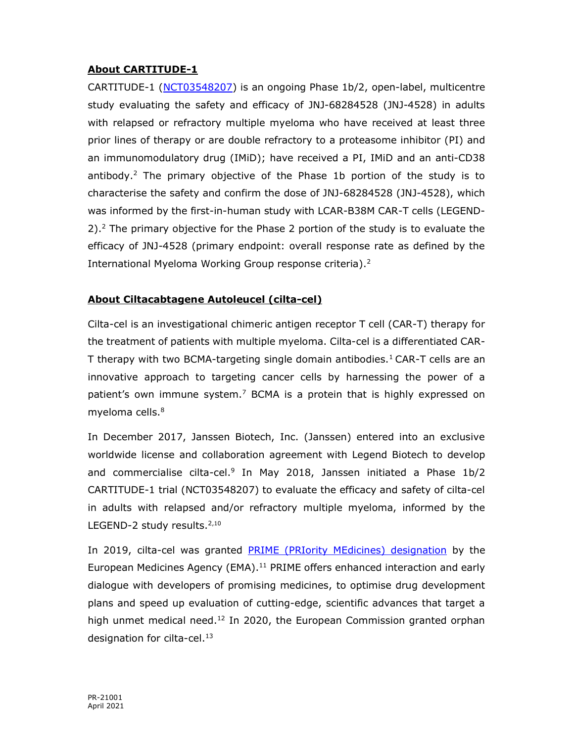# About CARTITUDE-1

CARTITUDE-1 (NCT03548207) is an ongoing Phase 1b/2, open-label, multicentre study evaluating the safety and efficacy of JNJ-68284528 (JNJ-4528) in adults with relapsed or refractory multiple myeloma who have received at least three prior lines of therapy or are double refractory to a proteasome inhibitor (PI) and an immunomodulatory drug (IMiD); have received a PI, IMiD and an anti-CD38 antibody.<sup>2</sup> The primary objective of the Phase 1b portion of the study is to characterise the safety and confirm the dose of JNJ-68284528 (JNJ-4528), which was informed by the first-in-human study with LCAR-B38M CAR-T cells (LEGEND-2).<sup>2</sup> The primary objective for the Phase 2 portion of the study is to evaluate the efficacy of JNJ-4528 (primary endpoint: overall response rate as defined by the International Myeloma Working Group response criteria).<sup>2</sup>

# About Ciltacabtagene Autoleucel (cilta-cel)

Cilta-cel is an investigational chimeric antigen receptor T cell (CAR-T) therapy for the treatment of patients with multiple myeloma. Cilta-cel is a differentiated CAR-T therapy with two BCMA-targeting single domain antibodies.<sup>1</sup> CAR-T cells are an innovative approach to targeting cancer cells by harnessing the power of a patient's own immune system.<sup>7</sup> BCMA is a protein that is highly expressed on myeloma cells.<sup>8</sup>

In December 2017, Janssen Biotech, Inc. (Janssen) entered into an exclusive worldwide license and collaboration agreement with Legend Biotech to develop and commercialise cilta-cel.<sup>9</sup> In May 2018, Janssen initiated a Phase 1b/2 CARTITUDE-1 trial (NCT03548207) to evaluate the efficacy and safety of cilta-cel in adults with relapsed and/or refractory multiple myeloma, informed by the LEGEND-2 study results.<sup>2,10</sup>

In 2019, cilta-cel was granted PRIME (PRIority MEdicines) designation by the European Medicines Agency (EMA).<sup>11</sup> PRIME offers enhanced interaction and early dialogue with developers of promising medicines, to optimise drug development plans and speed up evaluation of cutting-edge, scientific advances that target a high unmet medical need.<sup>12</sup> In 2020, the European Commission granted orphan designation for cilta-cel.<sup>13</sup>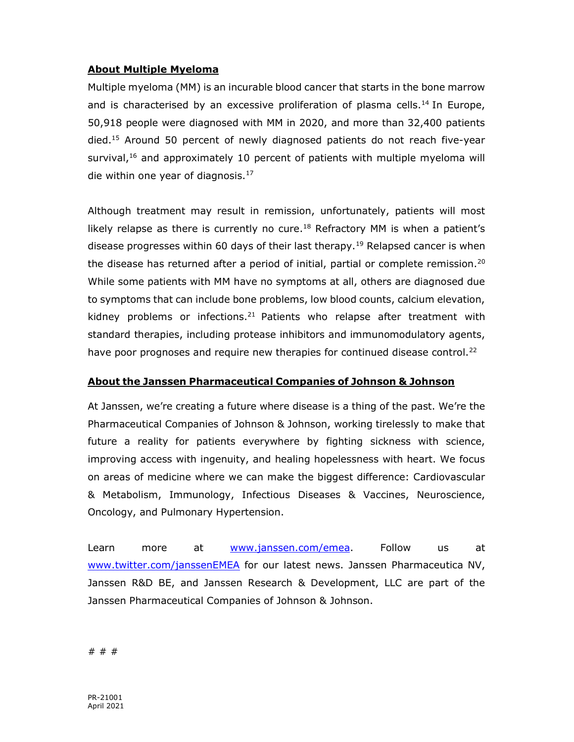# About Multiple Myeloma

Multiple myeloma (MM) is an incurable blood cancer that starts in the bone marrow and is characterised by an excessive proliferation of plasma cells.<sup>14</sup> In Europe, 50,918 people were diagnosed with MM in 2020, and more than 32,400 patients died.<sup>15</sup> Around 50 percent of newly diagnosed patients do not reach five-year survival,<sup>16</sup> and approximately 10 percent of patients with multiple myeloma will die within one year of diagnosis. $^{17}$ 

Although treatment may result in remission, unfortunately, patients will most likely relapse as there is currently no cure.<sup>18</sup> Refractory MM is when a patient's disease progresses within 60 days of their last therapy.<sup>19</sup> Relapsed cancer is when the disease has returned after a period of initial, partial or complete remission.<sup>20</sup> While some patients with MM have no symptoms at all, others are diagnosed due to symptoms that can include bone problems, low blood counts, calcium elevation, kidney problems or infections.<sup>21</sup> Patients who relapse after treatment with standard therapies, including protease inhibitors and immunomodulatory agents, have poor prognoses and require new therapies for continued disease control.<sup>22</sup>

# About the Janssen Pharmaceutical Companies of Johnson & Johnson

At Janssen, we're creating a future where disease is a thing of the past. We're the Pharmaceutical Companies of Johnson & Johnson, working tirelessly to make that future a reality for patients everywhere by fighting sickness with science, improving access with ingenuity, and healing hopelessness with heart. We focus on areas of medicine where we can make the biggest difference: Cardiovascular & Metabolism, Immunology, Infectious Diseases & Vaccines, Neuroscience, Oncology, and Pulmonary Hypertension.

Learn more at www.janssen.com/emea. Follow us at www.twitter.com/janssenEMEA for our latest news. Janssen Pharmaceutica NV, Janssen R&D BE, and Janssen Research & Development, LLC are part of the Janssen Pharmaceutical Companies of Johnson & Johnson.

# # #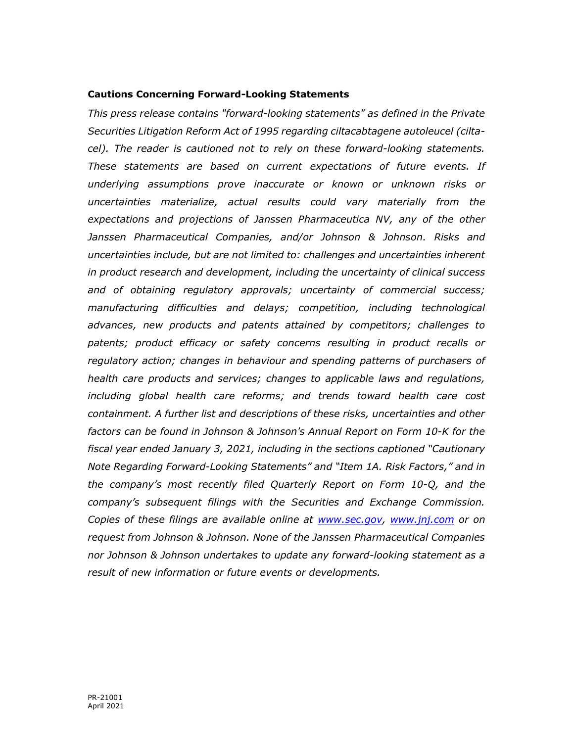### Cautions Concerning Forward-Looking Statements

This press release contains "forward-looking statements" as defined in the Private Securities Litigation Reform Act of 1995 regarding ciltacabtagene autoleucel (ciltacel). The reader is cautioned not to rely on these forward-looking statements. These statements are based on current expectations of future events. If underlying assumptions prove inaccurate or known or unknown risks or uncertainties materialize, actual results could vary materially from the expectations and projections of Janssen Pharmaceutica NV, any of the other Janssen Pharmaceutical Companies, and/or Johnson & Johnson. Risks and uncertainties include, but are not limited to: challenges and uncertainties inherent in product research and development, including the uncertainty of clinical success and of obtaining regulatory approvals; uncertainty of commercial success; manufacturing difficulties and delays; competition, including technological advances, new products and patents attained by competitors; challenges to patents; product efficacy or safety concerns resulting in product recalls or regulatory action; changes in behaviour and spending patterns of purchasers of health care products and services; changes to applicable laws and regulations, including global health care reforms; and trends toward health care cost containment. A further list and descriptions of these risks, uncertainties and other factors can be found in Johnson & Johnson's Annual Report on Form 10-K for the fiscal year ended January 3, 2021, including in the sections captioned "Cautionary Note Regarding Forward-Looking Statements" and "Item 1A. Risk Factors," and in the company's most recently filed Quarterly Report on Form 10-Q, and the company's subsequent filings with the Securities and Exchange Commission. Copies of these filings are available online at www.sec.gov, www.jnj.com or on request from Johnson & Johnson. None of the Janssen Pharmaceutical Companies nor Johnson & Johnson undertakes to update any forward-looking statement as a result of new information or future events or developments.